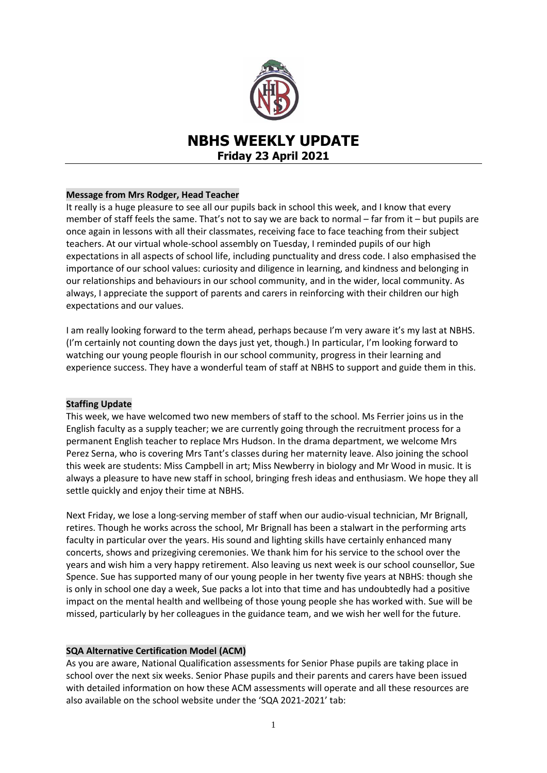

# **NBHS WEEKLY UPDATE Friday 23 April 2021**

# **Message from Mrs Rodger, Head Teacher**

It really is a huge pleasure to see all our pupils back in school this week, and I know that every member of staff feels the same. That's not to say we are back to normal – far from it – but pupils are once again in lessons with all their classmates, receiving face to face teaching from their subject teachers. At our virtual whole-school assembly on Tuesday, I reminded pupils of our high expectations in all aspects of school life, including punctuality and dress code. I also emphasised the importance of our school values: curiosity and diligence in learning, and kindness and belonging in our relationships and behaviours in our school community, and in the wider, local community. As always, I appreciate the support of parents and carers in reinforcing with their children our high expectations and our values.

I am really looking forward to the term ahead, perhaps because I'm very aware it's my last at NBHS. (I'm certainly not counting down the days just yet, though.) In particular, I'm looking forward to watching our young people flourish in our school community, progress in their learning and experience success. They have a wonderful team of staff at NBHS to support and guide them in this.

## **Staffing Update**

This week, we have welcomed two new members of staff to the school. Ms Ferrier joins us in the English faculty as a supply teacher; we are currently going through the recruitment process for a permanent English teacher to replace Mrs Hudson. In the drama department, we welcome Mrs Perez Serna, who is covering Mrs Tant's classes during her maternity leave. Also joining the school this week are students: Miss Campbell in art; Miss Newberry in biology and Mr Wood in music. It is always a pleasure to have new staff in school, bringing fresh ideas and enthusiasm. We hope they all settle quickly and enjoy their time at NBHS.

Next Friday, we lose a long-serving member of staff when our audio-visual technician, Mr Brignall, retires. Though he works across the school, Mr Brignall has been a stalwart in the performing arts faculty in particular over the years. His sound and lighting skills have certainly enhanced many concerts, shows and prizegiving ceremonies. We thank him for his service to the school over the years and wish him a very happy retirement. Also leaving us next week is our school counsellor, Sue Spence. Sue has supported many of our young people in her twenty five years at NBHS: though she is only in school one day a week, Sue packs a lot into that time and has undoubtedly had a positive impact on the mental health and wellbeing of those young people she has worked with. Sue will be missed, particularly by her colleagues in the guidance team, and we wish her well for the future.

# **SQA Alternative Certification Model (ACM)**

As you are aware, National Qualification assessments for Senior Phase pupils are taking place in school over the next six weeks. Senior Phase pupils and their parents and carers have been issued with detailed information on how these ACM assessments will operate and all these resources are also available on the school website under the 'SQA 2021-2021' tab: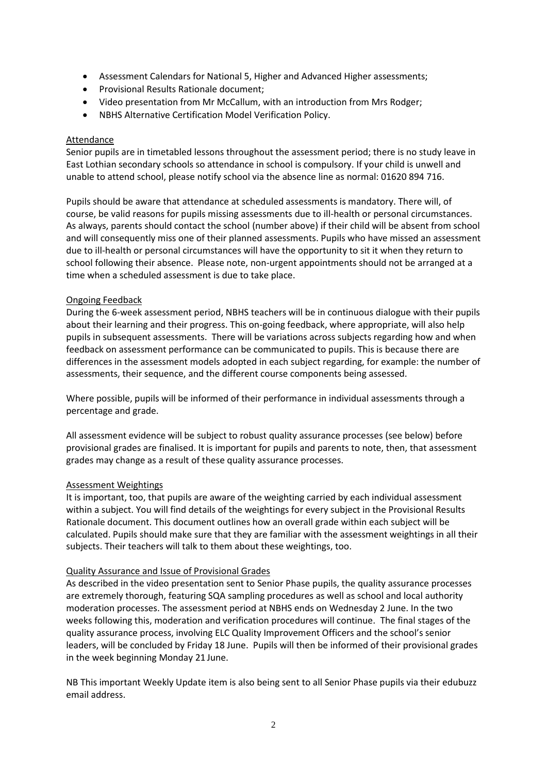- Assessment Calendars for National 5, Higher and Advanced Higher assessments;
- **•** Provisional Results Rationale document:
- Video presentation from Mr McCallum, with an introduction from Mrs Rodger;
- NBHS Alternative Certification Model Verification Policy.

#### Attendance

Senior pupils are in timetabled lessons throughout the assessment period; there is no study leave in East Lothian secondary schools so attendance in school is compulsory. If your child is unwell and unable to attend school, please notify school via the absence line as normal: 01620 894 716.

Pupils should be aware that attendance at scheduled assessments is mandatory. There will, of course, be valid reasons for pupils missing assessments due to ill-health or personal circumstances. As always, parents should contact the school (number above) if their child will be absent from school and will consequently miss one of their planned assessments. Pupils who have missed an assessment due to ill-health or personal circumstances will have the opportunity to sit it when they return to school following their absence. Please note, non-urgent appointments should not be arranged at a time when a scheduled assessment is due to take place.

## Ongoing Feedback

During the 6-week assessment period, NBHS teachers will be in continuous dialogue with their pupils about their learning and their progress. This on-going feedback, where appropriate, will also help pupils in subsequent assessments. There will be variations across subjects regarding how and when feedback on assessment performance can be communicated to pupils. This is because there are differences in the assessment models adopted in each subject regarding, for example: the number of assessments, their sequence, and the different course components being assessed.

Where possible, pupils will be informed of their performance in individual assessments through a percentage and grade.

All assessment evidence will be subject to robust quality assurance processes (see below) before provisional grades are finalised. It is important for pupils and parents to note, then, that assessment grades may change as a result of these quality assurance processes.

## Assessment Weightings

It is important, too, that pupils are aware of the weighting carried by each individual assessment within a subject. You will find details of the weightings for every subject in the Provisional Results Rationale document. This document outlines how an overall grade within each subject will be calculated. Pupils should make sure that they are familiar with the assessment weightings in all their subjects. Their teachers will talk to them about these weightings, too.

#### Quality Assurance and Issue of Provisional Grades

As described in the video presentation sent to Senior Phase pupils, the quality assurance processes are extremely thorough, featuring SQA sampling procedures as well as school and local authority moderation processes. The assessment period at NBHS ends on Wednesday 2 June. In the two weeks following this, moderation and verification procedures will continue. The final stages of the quality assurance process, involving ELC Quality Improvement Officers and the school's senior leaders, will be concluded by Friday 18 June. Pupils will then be informed of their provisional grades in the week beginning Monday 21 June.

NB This important Weekly Update item is also being sent to all Senior Phase pupils via their edubuzz email address.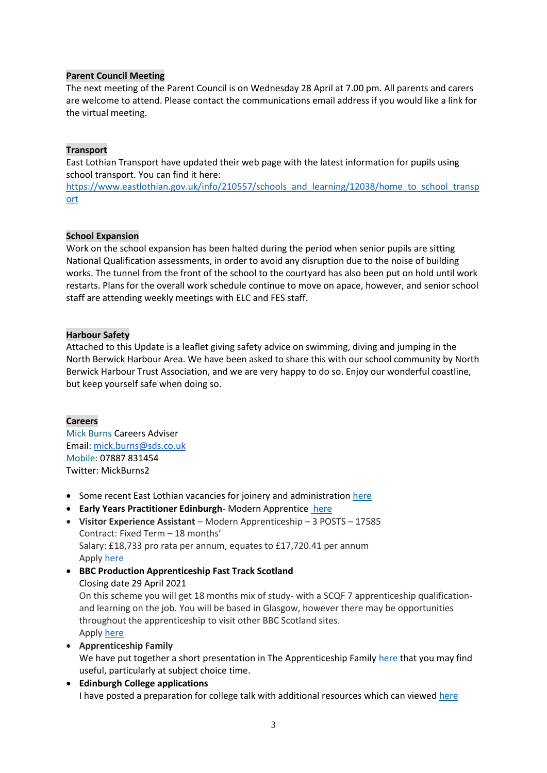# **Parent Council Meeting**

The next meeting of the Parent Council is on Wednesday 28 April at 7.00 pm. All parents and carers are welcome to attend. Please contact the communications email address if you would like a link for the virtual meeting.

# **Transport**

East Lothian Transport have updated their web page with the latest information for pupils using school transport. You can find it here:

[https://www.eastlothian.gov.uk/info/210557/schools\\_and\\_learning/12038/home\\_to\\_school\\_transp](https://www.eastlothian.gov.uk/info/210557/schools_and_learning/12038/home_to_school_transport) [ort](https://www.eastlothian.gov.uk/info/210557/schools_and_learning/12038/home_to_school_transport)

# **School Expansion**

Work on the school expansion has been halted during the period when senior pupils are sitting National Qualification assessments, in order to avoid any disruption due to the noise of building works. The tunnel from the front of the school to the courtyard has also been put on hold until work restarts. Plans for the overall work schedule continue to move on apace, however, and senior school staff are attending weekly meetings with ELC and FES staff.

# **Harbour Safety**

Attached to this Update is a leaflet giving safety advice on swimming, diving and jumping in the North Berwick Harbour Area. We have been asked to share this with our school community by North Berwick Harbour Trust Association, and we are very happy to do so. Enjoy our wonderful coastline, but keep yourself safe when doing so.

# **Careers**

Mick Burns Careers Adviser Email: [mick.burns@sds.co.uk](https://mail.elcschool.org.uk/owa/redir.aspx?C=fbGa3DGVrsUoQB2CnJP23eXwMGzxu7J1CtarT6dTOwkq_NlpJujXCA..&URL=mailto%3amick.burns%40sds.co.uk) Mobile: 07887 831454 Twitter: MickBurns2

- Some recent East Lothian vacancies for joinery and administration [here](https://www.edubuzz.org/careers/2021/04/22/east-lothian-vacancies-3/)
- **Early Years Practitioner Edinburgh** Modern Apprentice [here](https://www.edubuzz.org/careers/2021/04/22/modern-apprentice-early-years-practitioner-edinburgh/)
- **Visitor Experience Assistant** Modern Apprenticeship 3 POSTS 17585 Contract: Fixed Term – 18 months' Salary: £18,733 pro rata per annum, equates to £17,720.41 per annum Apply [here](https://www.theguarantee.org/jobs-board/visitor-experience-assistant-modern-apprenticeship-3-posts-17585)
- **BBC Production Apprenticeship Fast Track Scotland** Closing date 29 April 2021 On this scheme you will get 18 months mix of study- with a SCQF 7 apprenticeship qualificationand learning on the job. You will be based in Glasgow, however there may be opportunities throughout the apprenticeship to visit other BBC Scotland sites. Apply [here](https://www.edubuzz.org/careers/2021/04/06/bbc-production-apprenticeship-fast-track-scotland/)
- **Apprenticeship Family** We have put together a short presentation in The Apprenticeship Family [here](https://www.edubuzz.org/careers/2021/01/21/apprenticeship-family/) that you may find useful, particularly at subject choice time.
- **Edinburgh College applications** I have posted a preparation for college talk with additional resources which can viewed [here](https://www.edubuzz.org/careers/2017/12/06/applying-for-college-2018/)